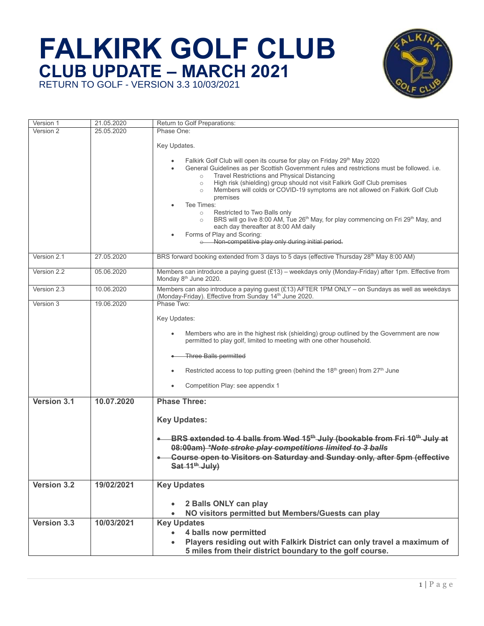

| Version 1   | 21.05.2020 | Return to Golf Preparations:                                                                                                                                                  |
|-------------|------------|-------------------------------------------------------------------------------------------------------------------------------------------------------------------------------|
| Version 2   | 25.05.2020 | Phase One:                                                                                                                                                                    |
|             |            | Key Updates.                                                                                                                                                                  |
|             |            |                                                                                                                                                                               |
|             |            | Falkirk Golf Club will open its course for play on Friday 29th May 2020                                                                                                       |
|             |            | General Guidelines as per Scottish Government rules and restrictions must be followed. i.e.                                                                                   |
|             |            | Travel Restrictions and Physical Distancing<br>$\circ$                                                                                                                        |
|             |            | High risk (shielding) group should not visit Falkirk Golf Club premises<br>$\circ$<br>Members will colds or COVID-19 symptoms are not allowed on Falkirk Golf Club<br>$\circ$ |
|             |            | premises                                                                                                                                                                      |
|             |            | Tee Times:                                                                                                                                                                    |
|             |            | Restricted to Two Balls only<br>$\circ$                                                                                                                                       |
|             |            | BRS will go live 8:00 AM, Tue 26 <sup>th</sup> May, for play commencing on Fri 29 <sup>th</sup> May, and<br>$\circ$                                                           |
|             |            | each day thereafter at 8:00 AM daily<br>Forms of Play and Scoring:                                                                                                            |
|             |            | o Non-competitive play only during initial period.                                                                                                                            |
|             |            |                                                                                                                                                                               |
| Version 2.1 | 27.05.2020 | BRS forward booking extended from 3 days to 5 days (effective Thursday 28 <sup>th</sup> May 8:00 AM)                                                                          |
| Version 2.2 | 05.06.2020 | Members can introduce a paying guest (£13) – weekdays only (Monday-Friday) after 1pm. Effective from                                                                          |
|             |            | Monday 8 <sup>th</sup> June 2020.                                                                                                                                             |
| Version 2.3 | 10.06.2020 | Members can also introduce a paying guest (£13) AFTER 1PM ONLY - on Sundays as well as weekdays                                                                               |
|             |            | (Monday-Friday). Effective from Sunday 14th June 2020.                                                                                                                        |
| Version 3   | 19.06.2020 | Phase Two:                                                                                                                                                                    |
|             |            | Key Updates:                                                                                                                                                                  |
|             |            |                                                                                                                                                                               |
|             |            | Members who are in the highest risk (shielding) group outlined by the Government are now                                                                                      |
|             |            | permitted to play golf, limited to meeting with one other household.                                                                                                          |
|             |            | Three Balls permitted                                                                                                                                                         |
|             |            |                                                                                                                                                                               |
|             |            | Restricted access to top putting green (behind the 18 <sup>th</sup> green) from 27 <sup>th</sup> June                                                                         |
|             |            |                                                                                                                                                                               |
|             |            | Competition Play: see appendix 1                                                                                                                                              |
| Version 3.1 | 10.07.2020 | <b>Phase Three:</b>                                                                                                                                                           |
|             |            |                                                                                                                                                                               |
|             |            | <b>Key Updates:</b>                                                                                                                                                           |
|             |            |                                                                                                                                                                               |
|             |            | BRS extended to 4 balls from Wed 15 <sup>th</sup> July (bookable from Fri 10 <sup>th</sup> July at                                                                            |
|             |            | 08:00am) *Note stroke play competitions limited to 3 balls                                                                                                                    |
|             |            | Course open to Visitors on Saturday and Sunday only, after 5pm (effective                                                                                                     |
|             |            | Sat 11 <sup>th</sup> July)                                                                                                                                                    |
|             |            |                                                                                                                                                                               |
| Version 3.2 | 19/02/2021 | <b>Key Updates</b>                                                                                                                                                            |
|             |            |                                                                                                                                                                               |
|             |            | 2 Balls ONLY can play                                                                                                                                                         |
|             |            | NO visitors permitted but Members/Guests can play                                                                                                                             |
| Version 3.3 | 10/03/2021 | <b>Key Updates</b>                                                                                                                                                            |
|             |            | 4 balls now permitted                                                                                                                                                         |
|             |            | Players residing out with Falkirk District can only travel a maximum of                                                                                                       |
|             |            | 5 miles from their district boundary to the golf course.                                                                                                                      |
|             |            |                                                                                                                                                                               |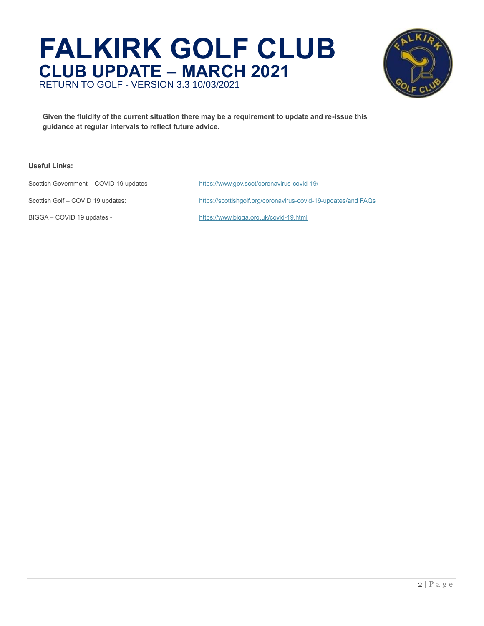

**Given the fluidity of the current situation there may be a requirement to update and re-issue this guidance at regular intervals to reflect future advice.**

#### **Useful Links:**

Scottish Government – COVID 19 updates <https://www.gov.scot/coronavirus-covid-19/>

BIGGA – COVID 19 updates - <https://www.bigga.org.uk/covid-19.html>

Scottish Golf – COVID 19 updates: <https://scottishgolf.org/coronavirus-covid-19-updates/>[and FAQs](https://scottishgolf.org/frequently-asked-questions-in-relation-to-the-guidance-for-golf-clubs-and-golfers-on-returning-to-golf-in-scotland/)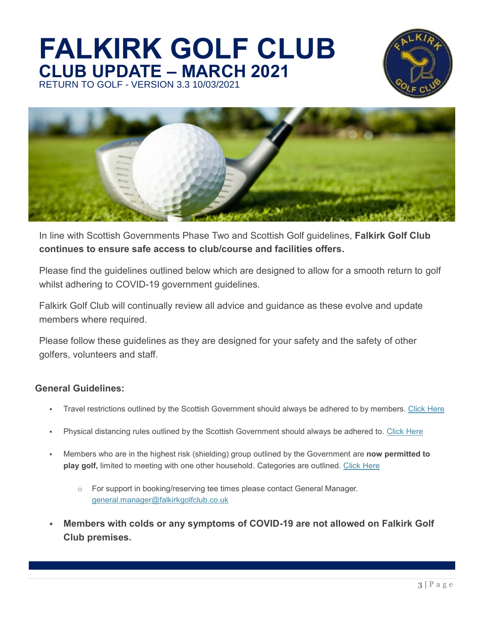



In line with Scottish Governments Phase Two and Scottish Golf guidelines, **Falkirk Golf Club continues to ensure safe access to club/course and facilities offers.**

Please find the guidelines outlined below which are designed to allow for a smooth return to golf whilst adhering to COVID-19 government guidelines.

Falkirk Golf Club will continually review all advice and guidance as these evolve and update members where required.

Please follow these guidelines as they are designed for your safety and the safety of other golfers, volunteers and staff.

### **General Guidelines:**

- Travel restrictions outlined by the Scottish Government should always be adhered to by members. [Click Here](https://www.gov.scot/publications/coronavirus-covid-19-staying-at-home-and-away-from-others/pages/exercise/)
- Physical distancing rules outlined by the Scottish Government should always be adhered to. [Click Here](https://www.nhsinform.scot/illnesses-and-conditions/infections-and-poisoning/coronavirus-covid-19/coronavirus-covid-19-physical-distancing)
- Members who are in the highest risk (shielding) group outlined by the Government are **now permitted to play golf,** limited to meeting with one other household. Categories are outlined. [Click Here](https://www.gov.scot/publications/covid-shielding/pages/highest-risk-classification/)
	- o For support in booking/reserving tee times please contact General Manager. [general.manager@falkirkgolfclub.co.uk](mailto:general.manager@falkirkgolfclub.co.uk)
- **Members with colds or any symptoms of COVID-19 are not allowed on Falkirk Golf Club premises.**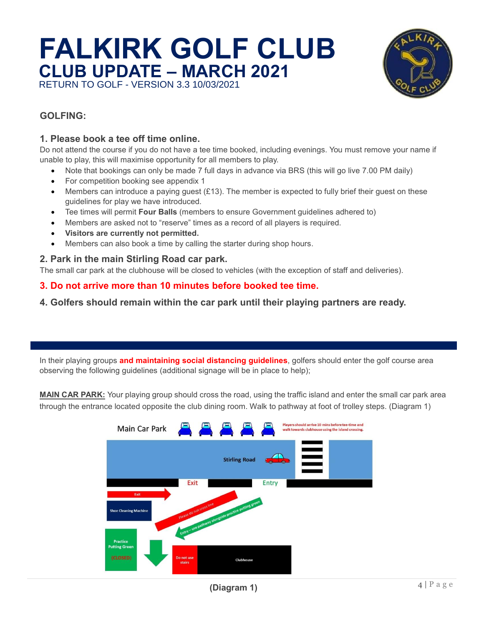

### **1. GOLFING:**

### **1. Please book a tee off time online.**

Do not attend the course if you do not have a tee time booked, including evenings. You must remove your name if unable to play, this will maximise opportunity for all members to play.

- Note that bookings can only be made 7 full days in advance via BRS (this will go live 7.00 PM daily)
- For competition booking see appendix 1
- Members can introduce a paying guest (£13). The member is expected to fully brief their guest on these guidelines for play we have introduced.
- Tee times will permit **Four Balls** (members to ensure Government guidelines adhered to)
- Members are asked not to "reserve" times as a record of all players is required.
- **Visitors are currently not permitted.**
- Members can also book a time by calling the starter during shop hours.

#### **4. 2. Park in the main Stirling Road car park.**

The small car park at the clubhouse will be closed to vehicles (with the exception of staff and deliveries).

#### **6. 3. Do not arrive more than 10 minutes before booked tee time.**

**7. 4. Golfers should remain within the car park until their playing partners are ready.** 

In their playing groups **and maintaining social distancing guidelines**, golfers should enter the golf course area observing the following guidelines (additional signage will be in place to help);

**MAIN CAR PARK:** Your playing group should cross the road, using the traffic island and enter the small car park area through the entrance located opposite the club dining room. Walk to pathway at foot of trolley steps. (Diagram 1)

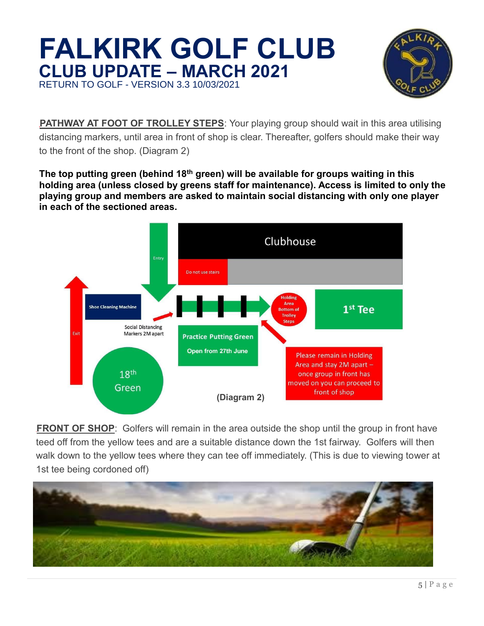

**PATHWAY AT FOOT OF TROLLEY STEPS:** Your playing group should wait in this area utilising distancing markers, until area in front of shop is clear. Thereafter, golfers should make their way to the front of the shop. (Diagram 2)

**The top putting green (behind 18th green) will be available for groups waiting in this holding area (unless closed by greens staff for maintenance). Access is limited to only the playing group and members are asked to maintain social distancing with only one player in each of the sectioned areas.**



**FRONT OF SHOP:** Golfers will remain in the area outside the shop until the group in front have teed off from the yellow tees and are a suitable distance down the 1st fairway. Golfers will then walk down to the yellow tees where they can tee off immediately. (This is due to viewing tower at 1st tee being cordoned off)

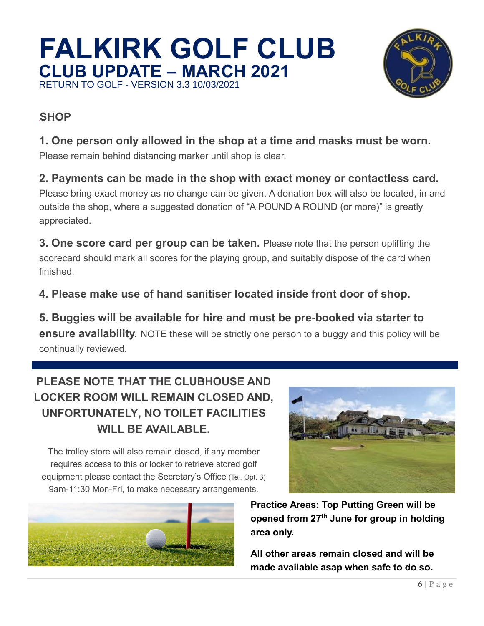

### **SHOP**

### **1. One person only allowed in the shop at a time and masks must be worn.**

Please remain behind distancing marker until shop is clear.

### **2. Payments can be made in the shop with exact money or contactless card.**

Please bring exact money as no change can be given. A donation box will also be located, in and outside the shop, where a suggested donation of "A POUND A ROUND (or more)" is greatly appreciated.

**3. One score card per group can be taken.** Please note that the person uplifting the scorecard should mark all scores for the playing group, and suitably dispose of the card when finished.

### **4. Please make use of hand sanitiser located inside front door of shop.**

**5. Buggies will be available for hire and must be pre-booked via starter to ensure availability.** NOTE these will be strictly one person to a buggy and this policy will be continually reviewed.

## **PLEASE NOTE THAT THE CLUBHOUSE AND LOCKER ROOM WILL REMAIN CLOSED AND, UNFORTUNATELY, NO TOILET FACILITIES WILL BE AVAILABLE.**

The trolley store will also remain closed, if any member requires access to this or locker to retrieve stored golf equipment please contact the Secretary's Office (Tel. Opt. 3) 9am-11:30 Mon-Fri, to make necessary arrangements.





**Practice Areas: Top Putting Green will be opened from 27th June for group in holding area only.** 

**All other areas remain closed and will be made available asap when safe to do so.**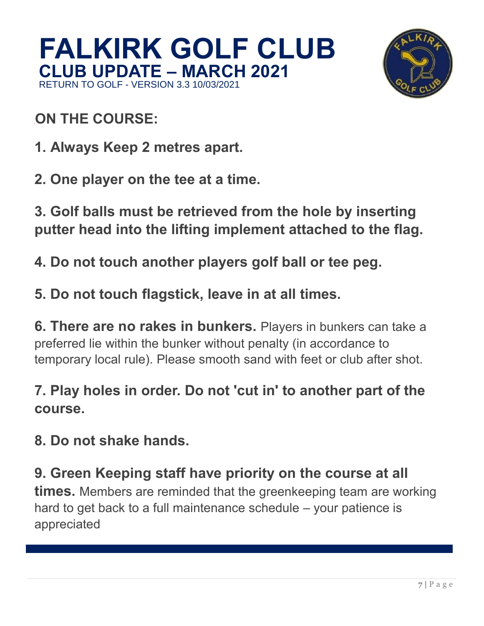

## **ON THE COURSE:**

- **1. Always Keep 2 metres apart.**
- **2. One player on the tee at a time.**

**3. Golf balls must be retrieved from the hole by inserting putter head into the lifting implement attached to the flag.**

- **4. Do not touch another players golf ball or tee peg.**
- **5. Do not touch flagstick, leave in at all times.**

**6. There are no rakes in bunkers.** Players in bunkers can take a preferred lie within the bunker without penalty (in accordance to temporary local rule). Please smooth sand with feet or club after shot.

## **7. Play holes in order. Do not 'cut in' to another part of the course.**

**8. Do not shake hands.**

l

**9. Green Keeping staff have priority on the course at all times.** Members are reminded that the greenkeeping team are working hard to get back to a full maintenance schedule – your patience is appreciated